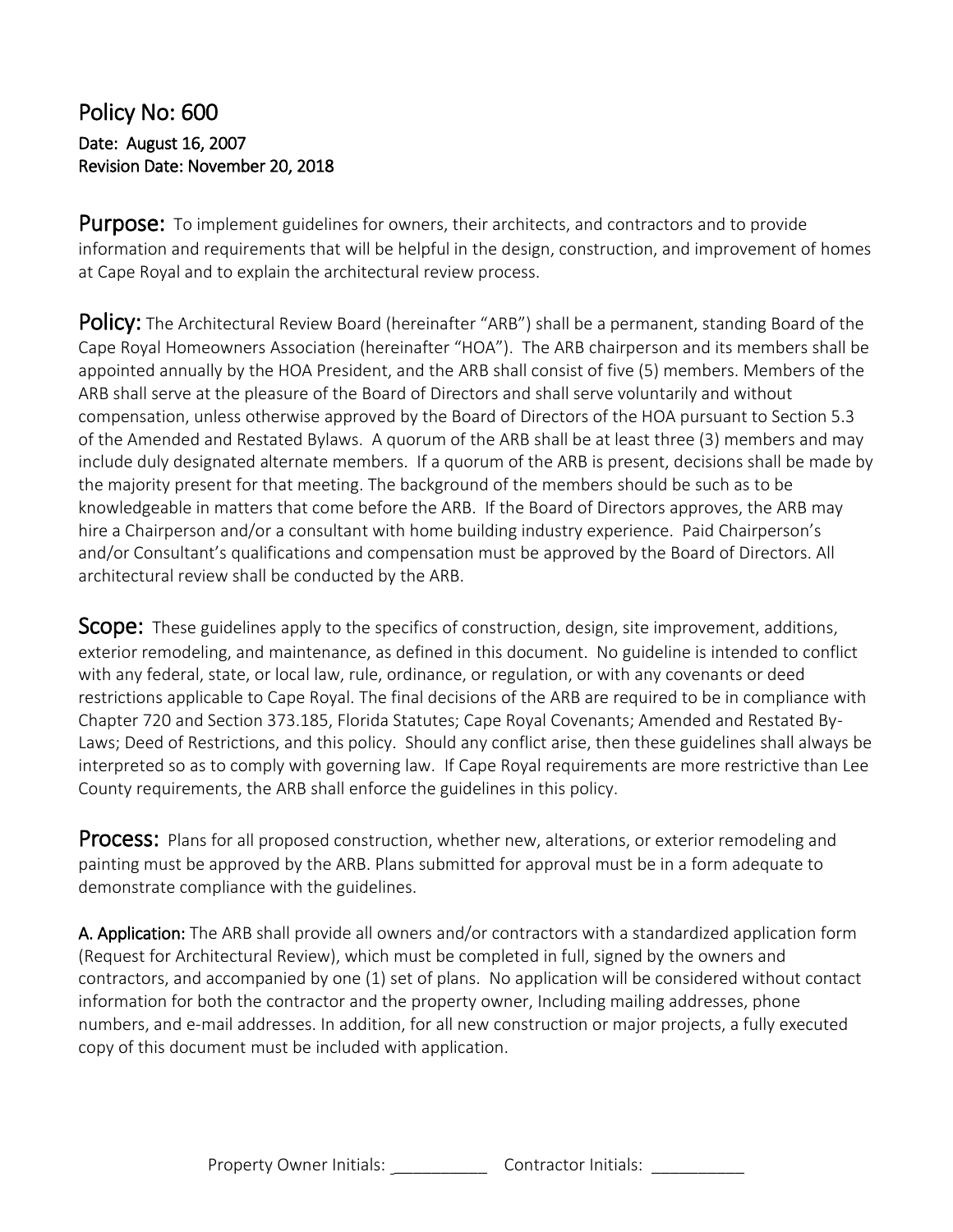#### Policy No: 600 Date: August 16, 2007 Revision Date: November 20, 2018

**Purpose:** To implement guidelines for owners, their architects, and contractors and to provide information and requirements that will be helpful in the design, construction, and improvement of homes at Cape Royal and to explain the architectural review process.

Policy:The Architectural Review Board (hereinafter "ARB") shall be a permanent, standing Board of the Cape Royal Homeowners Association (hereinafter "HOA"). The ARB chairperson and its members shall be appointed annually by the HOA President, and the ARB shall consist of five (5) members. Members of the ARB shall serve at the pleasure of the Board of Directors and shall serve voluntarily and without compensation, unless otherwise approved by the Board of Directors of the HOA pursuant to Section 5.3 of the Amended and Restated Bylaws. A quorum of the ARB shall be at least three (3) members and may include duly designated alternate members. If a quorum of the ARB is present, decisions shall be made by the majority present for that meeting. The background of the members should be such as to be knowledgeable in matters that come before the ARB. If the Board of Directors approves, the ARB may hire a Chairperson and/or a consultant with home building industry experience. Paid Chairperson's and/or Consultant's qualifications and compensation must be approved by the Board of Directors. All architectural review shall be conducted by the ARB.

**SCODE:** These guidelines apply to the specifics of construction, design, site improvement, additions, exterior remodeling, and maintenance, as defined in this document. No guideline is intended to conflict with any federal, state, or local law, rule, ordinance, or regulation, or with any covenants or deed restrictions applicable to Cape Royal. The final decisions of the ARB are required to be in compliance with Chapter 720 and Section 373.185, Florida Statutes; Cape Royal Covenants; Amended and Restated By-Laws; Deed of Restrictions, and this policy. Should any conflict arise, then these guidelines shall always be interpreted so as to comply with governing law. If Cape Royal requirements are more restrictive than Lee County requirements, the ARB shall enforce the guidelines in this policy.

Process:Plans for all proposed construction, whether new, alterations, or exterior remodeling and painting must be approved by the ARB. Plans submitted for approval must be in a form adequate to demonstrate compliance with the guidelines.

A. Application: The ARB shall provide all owners and/or contractors with a standardized application form (Request for Architectural Review), which must be completed in full, signed by the owners and contractors, and accompanied by one (1) set of plans. No application will be considered without contact information for both the contractor and the property owner, Including mailing addresses, phone numbers, and e-mail addresses. In addition, for all new construction or major projects, a fully executed copy of this document must be included with application.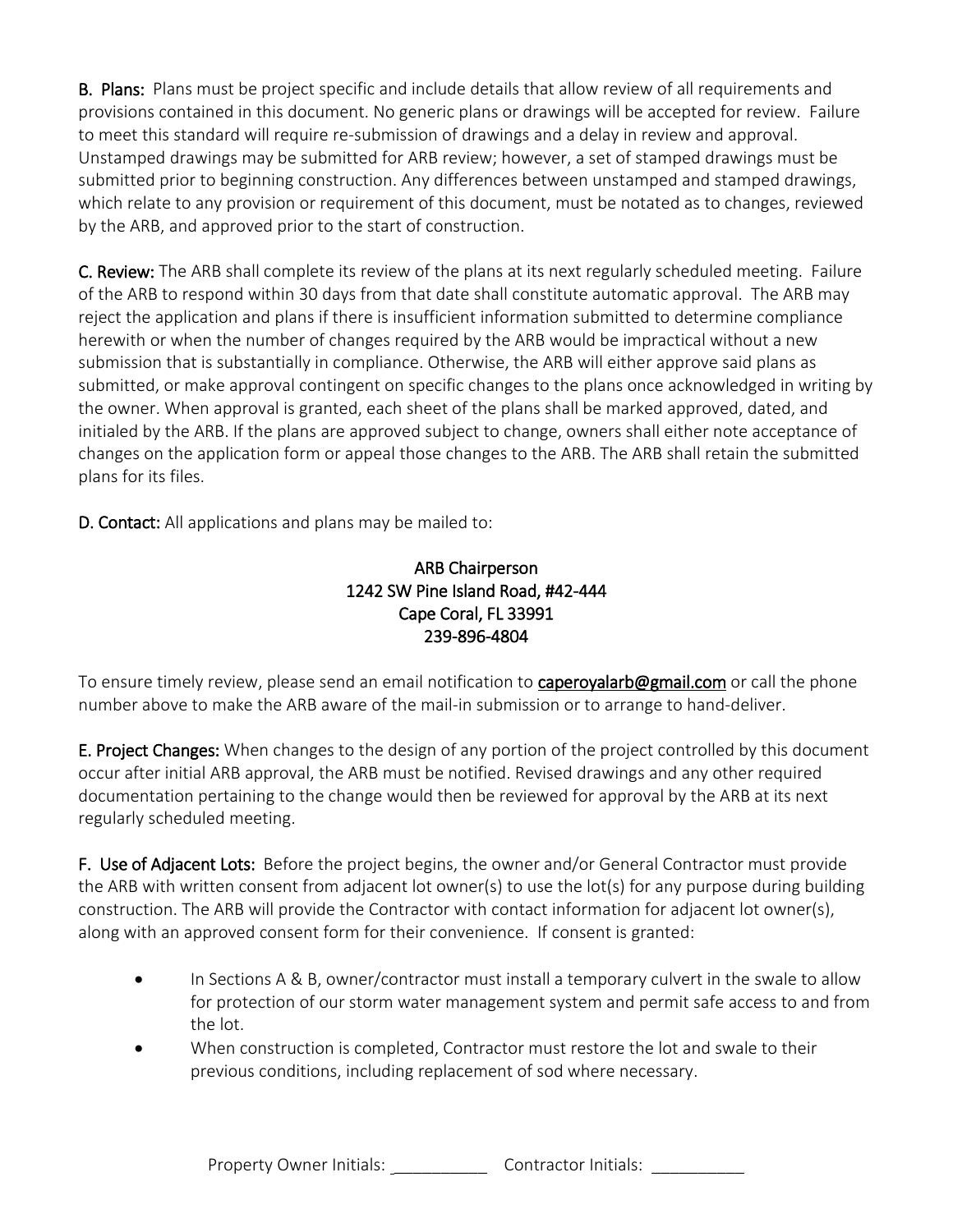**B. Plans:** Plans must be project specific and include details that allow review of all requirements and provisions contained in this document. No generic plans or drawings will be accepted for review. Failure to meet this standard will require re-submission of drawings and a delay in review and approval. Unstamped drawings may be submitted for ARB review; however, a set of stamped drawings must be submitted prior to beginning construction. Any differences between unstamped and stamped drawings, which relate to any provision or requirement of this document, must be notated as to changes, reviewed by the ARB, and approved prior to the start of construction.

C. Review: The ARB shall complete its review of the plans at its next regularly scheduled meeting. Failure of the ARB to respond within 30 days from that date shall constitute automatic approval. The ARB may reject the application and plans if there is insufficient information submitted to determine compliance herewith or when the number of changes required by the ARB would be impractical without a new submission that is substantially in compliance. Otherwise, the ARB will either approve said plans as submitted, or make approval contingent on specific changes to the plans once acknowledged in writing by the owner. When approval is granted, each sheet of the plans shall be marked approved, dated, and initialed by the ARB. If the plans are approved subject to change, owners shall either note acceptance of changes on the application form or appeal those changes to the ARB. The ARB shall retain the submitted plans for its files.

D. Contact: All applications and plans may be mailed to:

#### ARB Chairperson 1242 SW Pine Island Road, #42-444 Cape Coral, FL 33991 239-896-4804

To ensure timely review, please send an email notification to **caperoyalarb@gmail.com** or call the phone number above to make the ARB aware of the mail-in submission or to arrange to hand-deliver.

**E. Project Changes:** When changes to the design of any portion of the project controlled by this document occur after initial ARB approval, the ARB must be notified. Revised drawings and any other required documentation pertaining to the change would then be reviewed for approval by the ARB at its next regularly scheduled meeting.

F. Use of Adjacent Lots: Before the project begins, the owner and/or General Contractor must provide the ARB with written consent from adjacent lot owner(s) to use the lot(s) for any purpose during building construction. The ARB will provide the Contractor with contact information for adjacent lot owner(s), along with an approved consent form for their convenience. If consent is granted:

- In Sections A & B, owner/contractor must install a temporary culvert in the swale to allow for protection of our storm water management system and permit safe access to and from the lot.
- When construction is completed, Contractor must restore the lot and swale to their previous conditions, including replacement of sod where necessary.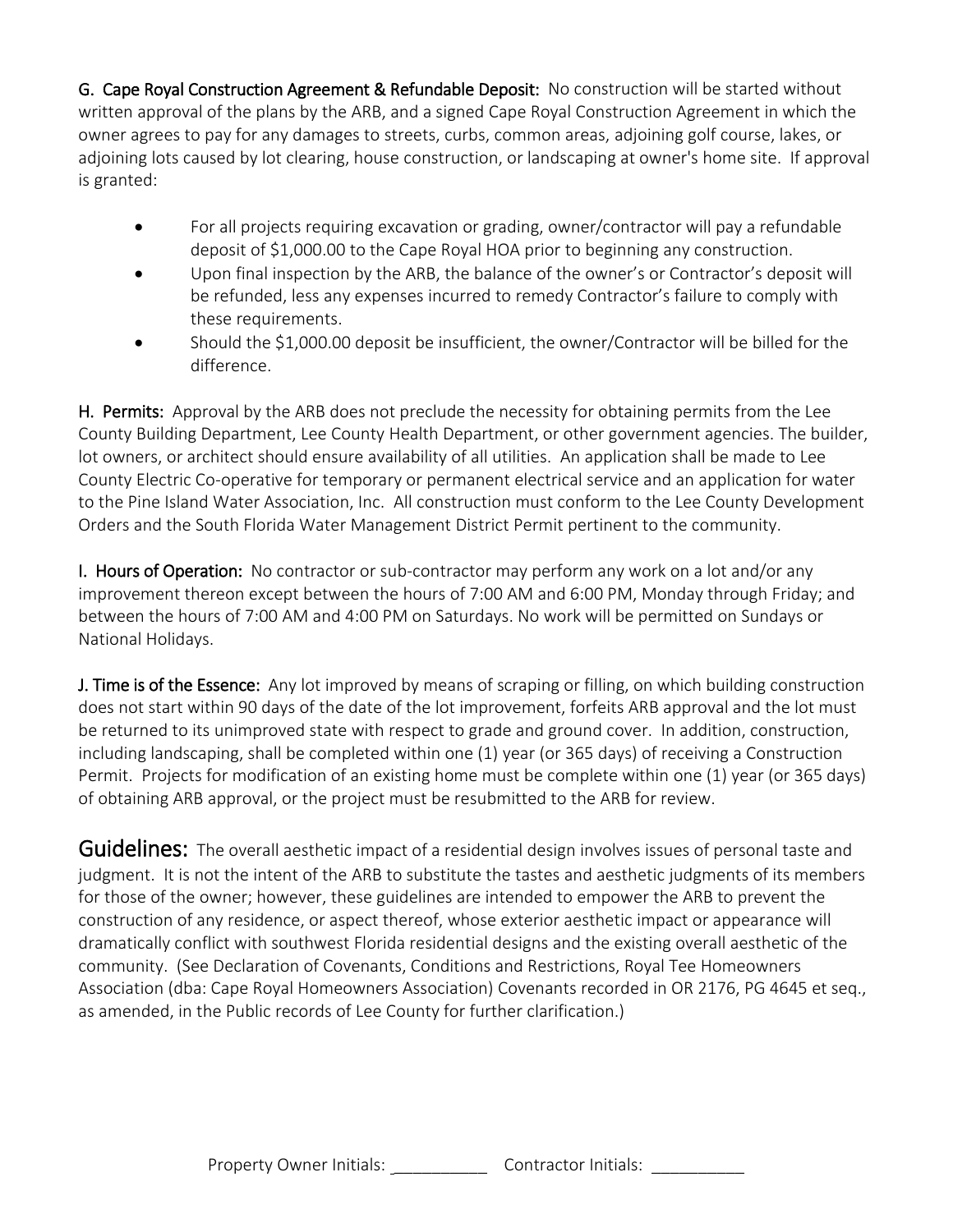G. Cape Royal Construction Agreement & Refundable Deposit: No construction will be started without written approval of the plans by the ARB, and a signed Cape Royal Construction Agreement in which the owner agrees to pay for any damages to streets, curbs, common areas, adjoining golf course, lakes, or adjoining lots caused by lot clearing, house construction, or landscaping at owner's home site. If approval is granted:

- For all projects requiring excavation or grading, owner/contractor will pay a refundable deposit of \$1,000.00 to the Cape Royal HOA prior to beginning any construction.
- Upon final inspection by the ARB, the balance of the owner's or Contractor's deposit will be refunded, less any expenses incurred to remedy Contractor's failure to comply with these requirements.
- Should the \$1,000.00 deposit be insufficient, the owner/Contractor will be billed for the difference.

H. Permits: Approval by the ARB does not preclude the necessity for obtaining permits from the Lee County Building Department, Lee County Health Department, or other government agencies. The builder, lot owners, or architect should ensure availability of all utilities. An application shall be made to Lee County Electric Co-operative for temporary or permanent electrical service and an application for water to the Pine Island Water Association, Inc. All construction must conform to the Lee County Development Orders and the South Florida Water Management District Permit pertinent to the community.

I. Hours of Operation: No contractor or sub-contractor may perform any work on a lot and/or any improvement thereon except between the hours of 7:00 AM and 6:00 PM, Monday through Friday; and between the hours of 7:00 AM and 4:00 PM on Saturdays. No work will be permitted on Sundays or National Holidays.

J. Time is of the Essence: Any lot improved by means of scraping or filling, on which building construction does not start within 90 days of the date of the lot improvement, forfeits ARB approval and the lot must be returned to its unimproved state with respect to grade and ground cover. In addition, construction, including landscaping, shall be completed within one (1) year (or 365 days) of receiving a Construction Permit. Projects for modification of an existing home must be complete within one (1) year (or 365 days) of obtaining ARB approval, or the project must be resubmitted to the ARB for review.

Guidelines: The overall aesthetic impact of a residential design involves issues of personal taste and judgment. It is not the intent of the ARB to substitute the tastes and aesthetic judgments of its members for those of the owner; however, these guidelines are intended to empower the ARB to prevent the construction of any residence, or aspect thereof, whose exterior aesthetic impact or appearance will dramatically conflict with southwest Florida residential designs and the existing overall aesthetic of the community. (See Declaration of Covenants, Conditions and Restrictions, Royal Tee Homeowners Association (dba: Cape Royal Homeowners Association) Covenants recorded in OR 2176, PG 4645 et seq., as amended, in the Public records of Lee County for further clarification.)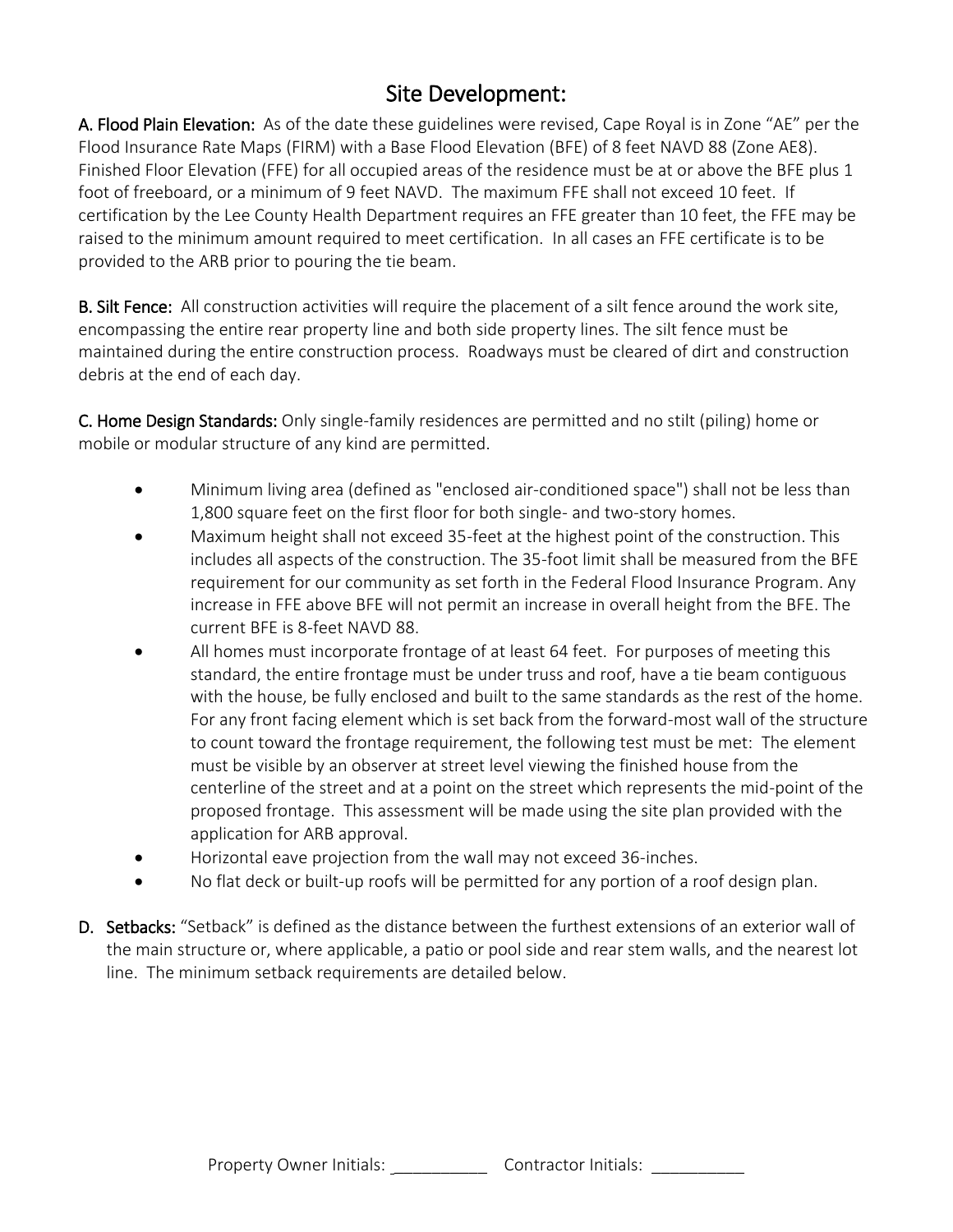### Site Development:

A. Flood Plain Elevation: As of the date these guidelines were revised, Cape Royal is in Zone "AE" per the Flood Insurance Rate Maps (FIRM) with a Base Flood Elevation (BFE) of 8 feet NAVD 88 (Zone AE8). Finished Floor Elevation (FFE) for all occupied areas of the residence must be at or above the BFE plus 1 foot of freeboard, or a minimum of 9 feet NAVD. The maximum FFE shall not exceed 10 feet. If certification by the Lee County Health Department requires an FFE greater than 10 feet, the FFE may be raised to the minimum amount required to meet certification. In all cases an FFE certificate is to be provided to the ARB prior to pouring the tie beam.

B. Silt Fence: All construction activities will require the placement of a silt fence around the work site, encompassing the entire rear property line and both side property lines. The silt fence must be maintained during the entire construction process. Roadways must be cleared of dirt and construction debris at the end of each day.

C. Home Design Standards: Only single-family residences are permitted and no stilt (piling) home or mobile or modular structure of any kind are permitted.

- Minimum living area (defined as "enclosed air-conditioned space") shall not be less than 1,800 square feet on the first floor for both single- and two-story homes.
- Maximum height shall not exceed 35-feet at the highest point of the construction. This includes all aspects of the construction. The 35-foot limit shall be measured from the BFE requirement for our community as set forth in the Federal Flood Insurance Program. Any increase in FFE above BFE will not permit an increase in overall height from the BFE. The current BFE is 8-feet NAVD 88.
- All homes must incorporate frontage of at least 64 feet. For purposes of meeting this standard, the entire frontage must be under truss and roof, have a tie beam contiguous with the house, be fully enclosed and built to the same standards as the rest of the home. For any front facing element which is set back from the forward-most wall of the structure to count toward the frontage requirement, the following test must be met: The element must be visible by an observer at street level viewing the finished house from the centerline of the street and at a point on the street which represents the mid-point of the proposed frontage. This assessment will be made using the site plan provided with the application for ARB approval.
- Horizontal eave projection from the wall may not exceed 36-inches.
- No flat deck or built-up roofs will be permitted for any portion of a roof design plan.
- D. Setbacks: "Setback" is defined as the distance between the furthest extensions of an exterior wall of the main structure or, where applicable, a patio or pool side and rear stem walls, and the nearest lot line. The minimum setback requirements are detailed below.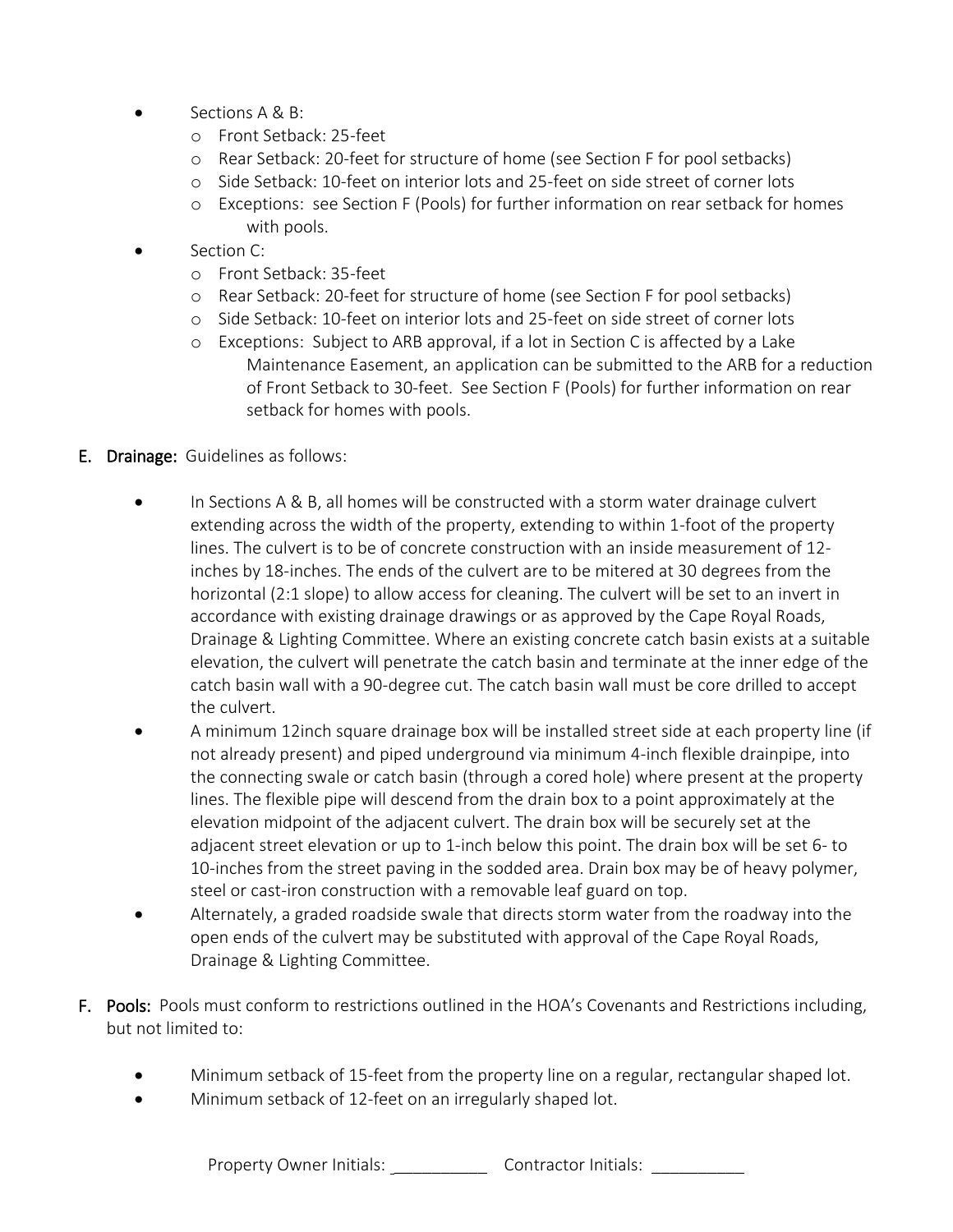- Sections A & B:
	- o Front Setback: 25-feet
	- o Rear Setback: 20-feet for structure of home (see Section F for pool setbacks)
	- o Side Setback: 10-feet on interior lots and 25-feet on side street of corner lots
	- o Exceptions: see Section F (Pools) for further information on rear setback for homes with pools.
- Section C:
	- o Front Setback: 35-feet
	- o Rear Setback: 20-feet for structure of home (see Section F for pool setbacks)
	- o Side Setback: 10-feet on interior lots and 25-feet on side street of corner lots
	- o Exceptions: Subject to ARB approval, if a lot in Section C is affected by a Lake Maintenance Easement, an application can be submitted to the ARB for a reduction of Front Setback to 30-feet. See Section F (Pools) for further information on rear setback for homes with pools.
- E. Drainage: Guidelines as follows:
	- In Sections A & B, all homes will be constructed with a storm water drainage culvert extending across the width of the property, extending to within 1-foot of the property lines. The culvert is to be of concrete construction with an inside measurement of 12 inches by 18-inches. The ends of the culvert are to be mitered at 30 degrees from the horizontal (2:1 slope) to allow access for cleaning. The culvert will be set to an invert in accordance with existing drainage drawings or as approved by the Cape Royal Roads, Drainage & Lighting Committee. Where an existing concrete catch basin exists at a suitable elevation, the culvert will penetrate the catch basin and terminate at the inner edge of the catch basin wall with a 90-degree cut. The catch basin wall must be core drilled to accept the culvert.
	- A minimum 12inch square drainage box will be installed street side at each property line (if not already present) and piped underground via minimum 4-inch flexible drainpipe, into the connecting swale or catch basin (through a cored hole) where present at the property lines. The flexible pipe will descend from the drain box to a point approximately at the elevation midpoint of the adjacent culvert. The drain box will be securely set at the adjacent street elevation or up to 1-inch below this point. The drain box will be set 6- to 10-inches from the street paving in the sodded area. Drain box may be of heavy polymer, steel or cast-iron construction with a removable leaf guard on top.
	- Alternately, a graded roadside swale that directs storm water from the roadway into the open ends of the culvert may be substituted with approval of the Cape Royal Roads, Drainage & Lighting Committee.
- F. Pools: Pools must conform to restrictions outlined in the HOA's Covenants and Restrictions including, but not limited to:
	- Minimum setback of 15-feet from the property line on a regular, rectangular shaped lot.
	- Minimum setback of 12-feet on an irregularly shaped lot.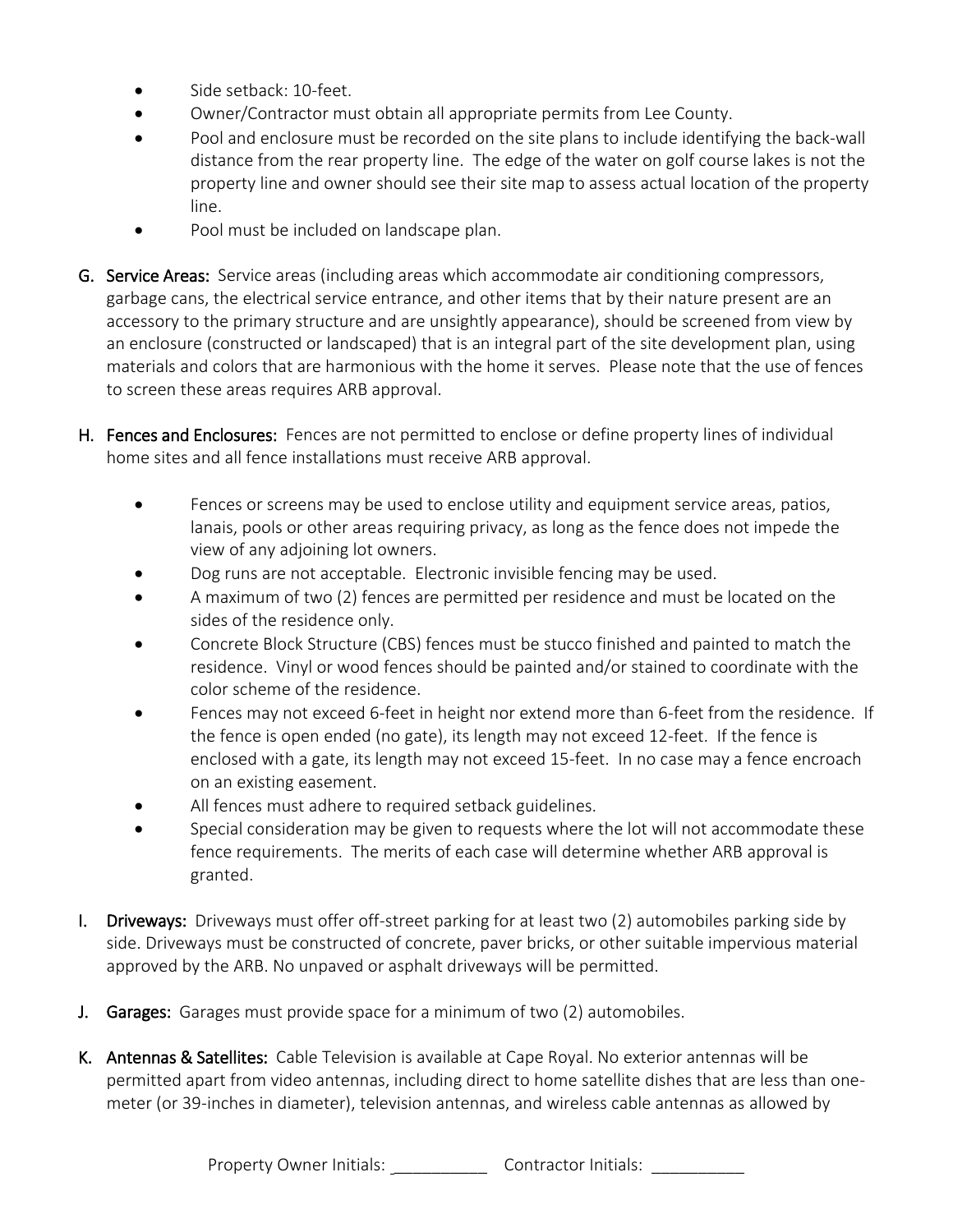- Side setback: 10-feet
- Owner/Contractor must obtain all appropriate permits from Lee County.
- Pool and enclosure must be recorded on the site plans to include identifying the back-wall distance from the rear property line. The edge of the water on golf course lakes is not the property line and owner should see their site map to assess actual location of the property line.
- Pool must be included on landscape plan.
- G. Service Areas: Service areas (including areas which accommodate air conditioning compressors, garbage cans, the electrical service entrance, and other items that by their nature present are an accessory to the primary structure and are unsightly appearance), should be screened from view by an enclosure (constructed or landscaped) that is an integral part of the site development plan, using materials and colors that are harmonious with the home it serves. Please note that the use of fences to screen these areas requires ARB approval.
- H. Fences and Enclosures: Fences are not permitted to enclose or define property lines of individual home sites and all fence installations must receive ARB approval.
	- Fences or screens may be used to enclose utility and equipment service areas, patios, lanais, pools or other areas requiring privacy, as long as the fence does not impede the view of any adjoining lot owners.
	- Dog runs are not acceptable. Electronic invisible fencing may be used.
	- A maximum of two (2) fences are permitted per residence and must be located on the sides of the residence only.
	- Concrete Block Structure (CBS) fences must be stucco finished and painted to match the residence. Vinyl or wood fences should be painted and/or stained to coordinate with the color scheme of the residence.
	- Fences may not exceed 6-feet in height nor extend more than 6-feet from the residence. If the fence is open ended (no gate), its length may not exceed 12-feet. If the fence is enclosed with a gate, its length may not exceed 15-feet. In no case may a fence encroach on an existing easement.
	- All fences must adhere to required setback guidelines.
	- Special consideration may be given to requests where the lot will not accommodate these fence requirements. The merits of each case will determine whether ARB approval is granted.
- I. Driveways: Driveways must offer off-street parking for at least two (2) automobiles parking side by side. Driveways must be constructed of concrete, paver bricks, or other suitable impervious material approved by the ARB. No unpaved or asphalt driveways will be permitted.
- J. Garages: Garages must provide space for a minimum of two (2) automobiles.
- K. Antennas & Satellites: Cable Television is available at Cape Royal. No exterior antennas will be permitted apart from video antennas, including direct to home satellite dishes that are less than onemeter (or 39-inches in diameter), television antennas, and wireless cable antennas as allowed by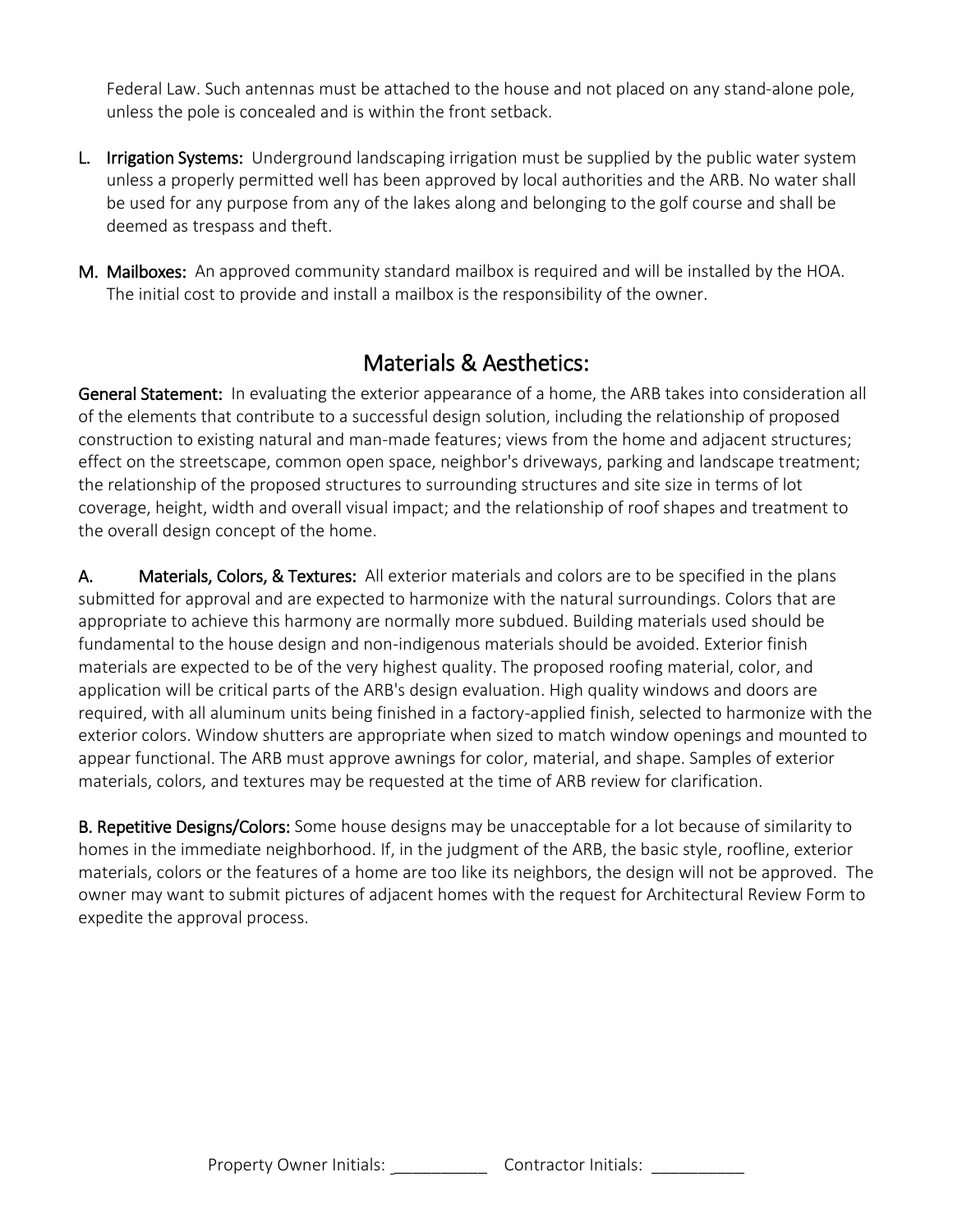Federal Law. Such antennas must be attached to the house and not placed on any stand-alone pole, unless the pole is concealed and is within the front setback.

- L. Irrigation Systems: Underground landscaping irrigation must be supplied by the public water system unless a properly permitted well has been approved by local authorities and the ARB. No water shall be used for any purpose from any of the lakes along and belonging to the golf course and shall be deemed as trespass and theft.
- M. Mailboxes: An approved community standard mailbox is required and will be installed by the HOA. The initial cost to provide and install a mailbox is the responsibility of the owner.

### Materials & Aesthetics:

General Statement: In evaluating the exterior appearance of a home, the ARB takes into consideration all of the elements that contribute to a successful design solution, including the relationship of proposed construction to existing natural and man-made features; views from the home and adjacent structures; effect on the streetscape, common open space, neighbor's driveways, parking and landscape treatment; the relationship of the proposed structures to surrounding structures and site size in terms of lot coverage, height, width and overall visual impact; and the relationship of roof shapes and treatment to the overall design concept of the home.

A. Materials, Colors, & Textures: All exterior materials and colors are to be specified in the plans submitted for approval and are expected to harmonize with the natural surroundings. Colors that are appropriate to achieve this harmony are normally more subdued. Building materials used should be fundamental to the house design and non-indigenous materials should be avoided. Exterior finish materials are expected to be of the very highest quality. The proposed roofing material, color, and application will be critical parts of the ARB's design evaluation. High quality windows and doors are required, with all aluminum units being finished in a factory-applied finish, selected to harmonize with the exterior colors. Window shutters are appropriate when sized to match window openings and mounted to appear functional. The ARB must approve awnings for color, material, and shape. Samples of exterior materials, colors, and textures may be requested at the time of ARB review for clarification.

B. Repetitive Designs/Colors: Some house designs may be unacceptable for a lot because of similarity to homes in the immediate neighborhood. If, in the judgment of the ARB, the basic style, roofline, exterior materials, colors or the features of a home are too like its neighbors, the design will not be approved. The owner may want to submit pictures of adjacent homes with the request for Architectural Review Form to expedite the approval process.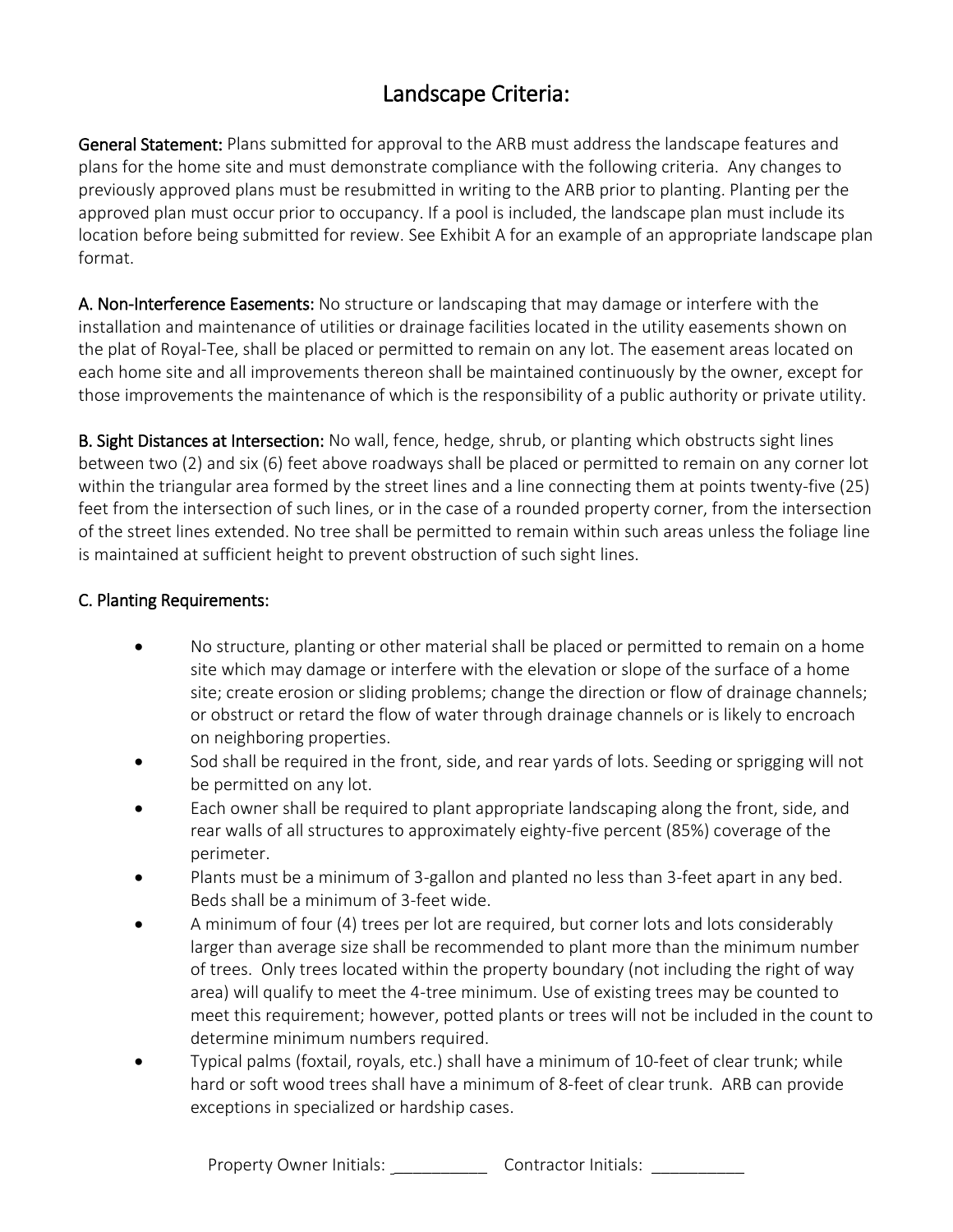## Landscape Criteria:

General Statement: Plans submitted for approval to the ARB must address the landscape features and plans for the home site and must demonstrate compliance with the following criteria. Any changes to previously approved plans must be resubmitted in writing to the ARB prior to planting. Planting per the approved plan must occur prior to occupancy. If a pool is included, the landscape plan must include its location before being submitted for review. See Exhibit A for an example of an appropriate landscape plan format.

A. Non-Interference Easements: No structure or landscaping that may damage or interfere with the installation and maintenance of utilities or drainage facilities located in the utility easements shown on the plat of Royal-Tee, shall be placed or permitted to remain on any lot. The easement areas located on each home site and all improvements thereon shall be maintained continuously by the owner, except for those improvements the maintenance of which is the responsibility of a public authority or private utility.

B. Sight Distances at Intersection: No wall, fence, hedge, shrub, or planting which obstructs sight lines between two (2) and six (6) feet above roadways shall be placed or permitted to remain on any corner lot within the triangular area formed by the street lines and a line connecting them at points twenty-five (25) feet from the intersection of such lines, or in the case of a rounded property corner, from the intersection of the street lines extended. No tree shall be permitted to remain within such areas unless the foliage line is maintained at sufficient height to prevent obstruction of such sight lines.

#### C. Planting Requirements:

- No structure, planting or other material shall be placed or permitted to remain on a home site which may damage or interfere with the elevation or slope of the surface of a home site; create erosion or sliding problems; change the direction or flow of drainage channels; or obstruct or retard the flow of water through drainage channels or is likely to encroach on neighboring properties.
- Sod shall be required in the front, side, and rear yards of lots. Seeding or sprigging will not be permitted on any lot.
- Each owner shall be required to plant appropriate landscaping along the front, side, and rear walls of all structures to approximately eighty-five percent (85%) coverage of the perimeter.
- Plants must be a minimum of 3-gallon and planted no less than 3-feet apart in any bed. Beds shall be a minimum of 3-feet wide.
- A minimum of four (4) trees per lot are required, but corner lots and lots considerably larger than average size shall be recommended to plant more than the minimum number of trees. Only trees located within the property boundary (not including the right of way area) will qualify to meet the 4-tree minimum. Use of existing trees may be counted to meet this requirement; however, potted plants or trees will not be included in the count to determine minimum numbers required.
- Typical palms (foxtail, royals, etc.) shall have a minimum of 10-feet of clear trunk; while hard or soft wood trees shall have a minimum of 8-feet of clear trunk. ARB can provide exceptions in specialized or hardship cases.

Property Owner Initials: \_\_\_\_\_\_\_\_\_\_\_\_\_\_\_ Contractor Initials: \_\_\_\_\_\_\_\_\_\_\_\_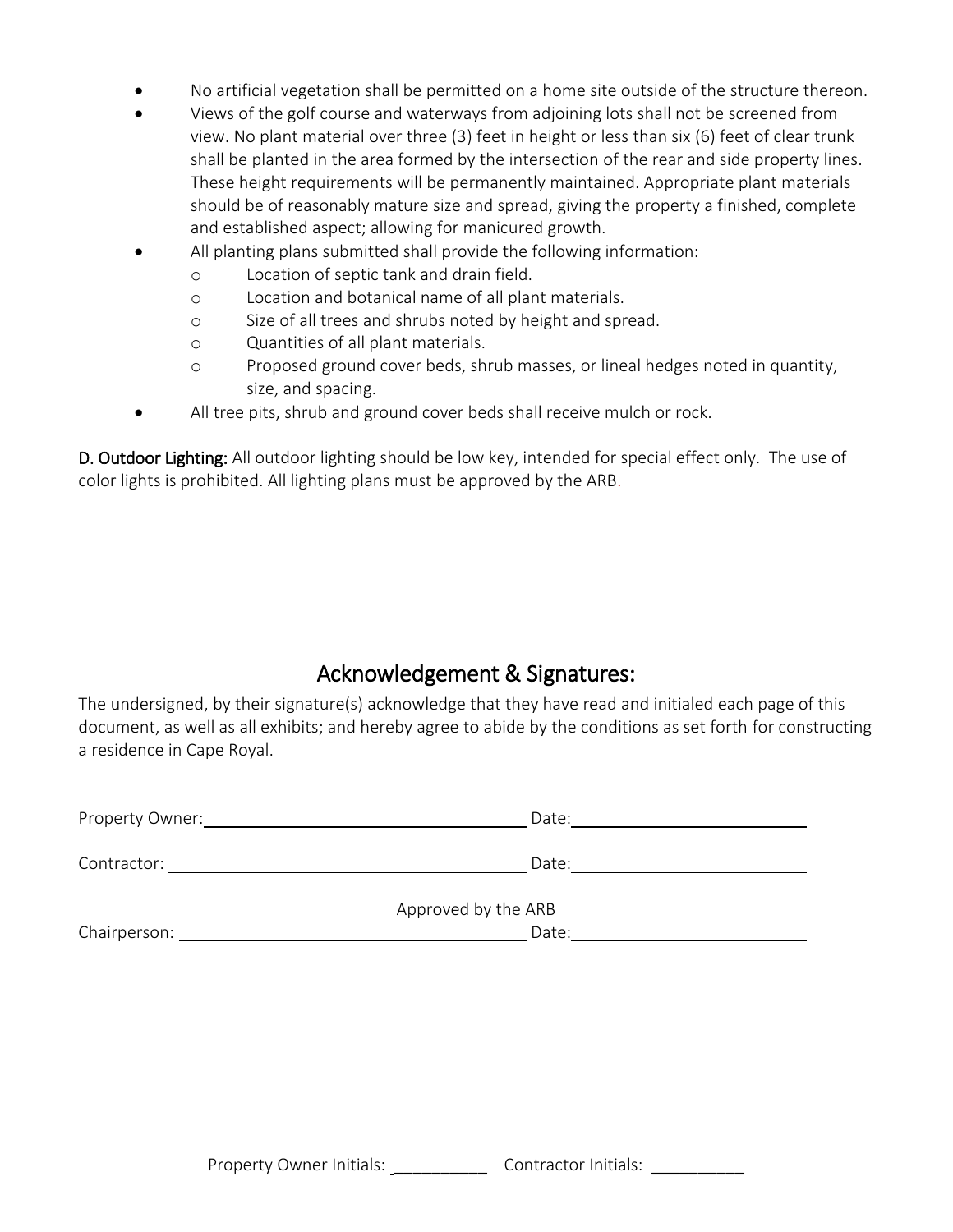- No artificial vegetation shall be permitted on a home site outside of the structure thereon.
- Views of the golf course and waterways from adjoining lots shall not be screened from view. No plant material over three (3) feet in height or less than six (6) feet of clear trunk shall be planted in the area formed by the intersection of the rear and side property lines. These height requirements will be permanently maintained. Appropriate plant materials should be of reasonably mature size and spread, giving the property a finished, complete and established aspect; allowing for manicured growth.
- All planting plans submitted shall provide the following information:
	- o Location of septic tank and drain field.
	- o Location and botanical name of all plant materials.
	- o Size of all trees and shrubs noted by height and spread.
	- o Quantities of all plant materials.
	- o Proposed ground cover beds, shrub masses, or lineal hedges noted in quantity, size, and spacing.
- All tree pits, shrub and ground cover beds shall receive mulch or rock.

D. Outdoor Lighting: All outdoor lighting should be low key, intended for special effect only. The use of color lights is prohibited. All lighting plans must be approved by the ARB.

#### Acknowledgement & Signatures:

The undersigned, by their signature(s) acknowledge that they have read and initialed each page of this document, as well as all exhibits; and hereby agree to abide by the conditions as set forth for constructing a residence in Cape Royal.

| Property Owner: | Date:               |  |
|-----------------|---------------------|--|
| Contractor:     | Date:               |  |
|                 | Approved by the ARB |  |
| Chairperson:    | Date:               |  |